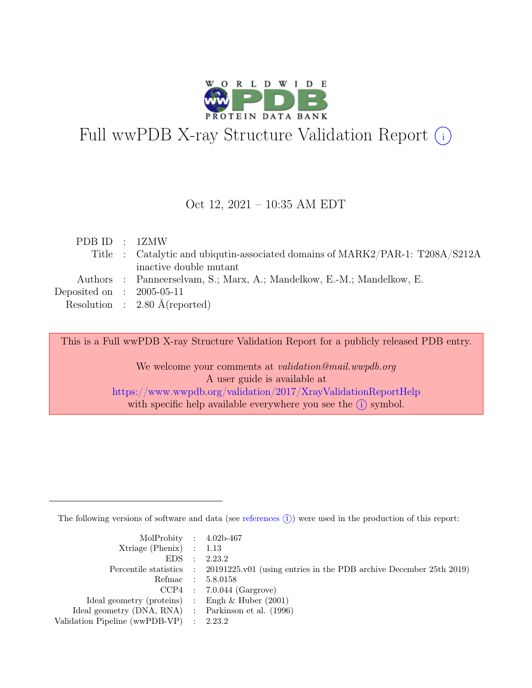

# Full wwPDB X-ray Structure Validation Report  $(i)$

#### Oct 12, 2021 – 10:35 AM EDT

| PDB ID : 1ZMW               |                                                                              |
|-----------------------------|------------------------------------------------------------------------------|
|                             | Title : Catalytic and ubiquin-associated domains of MARK2/PAR-1: T208A/S212A |
|                             | inactive double mutant                                                       |
|                             | Authors : Panneerselvam, S.; Marx, A.; Mandelkow, E.-M.; Mandelkow, E.       |
| Deposited on : $2005-05-11$ |                                                                              |
|                             | Resolution : $2.80 \text{ Å}$ (reported)                                     |
|                             |                                                                              |

This is a Full wwPDB X-ray Structure Validation Report for a publicly released PDB entry.

We welcome your comments at *validation@mail.wwpdb.org* A user guide is available at <https://www.wwpdb.org/validation/2017/XrayValidationReportHelp> with specific help available everywhere you see the  $(i)$  symbol.

The following versions of software and data (see [references](https://www.wwpdb.org/validation/2017/XrayValidationReportHelp#references)  $(i)$ ) were used in the production of this report:

| MolProbity : $4.02b-467$                            |                                                                                            |
|-----------------------------------------------------|--------------------------------------------------------------------------------------------|
| $Xtriangle (Phenix)$ : 1.13                         |                                                                                            |
|                                                     | EDS : 2.23.2                                                                               |
|                                                     | Percentile statistics : 20191225.v01 (using entries in the PDB archive December 25th 2019) |
|                                                     | Refmac : 5.8.0158                                                                          |
|                                                     | $CCP4$ : 7.0.044 (Gargrove)                                                                |
| Ideal geometry (proteins) : Engh $\&$ Huber (2001)  |                                                                                            |
| Ideal geometry (DNA, RNA) : Parkinson et al. (1996) |                                                                                            |
| Validation Pipeline (wwPDB-VP) : 2.23.2             |                                                                                            |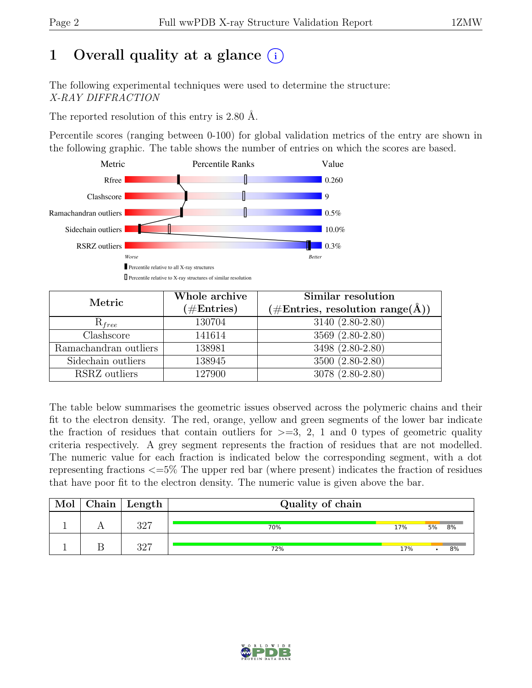## 1 Overall quality at a glance  $(i)$

The following experimental techniques were used to determine the structure: X-RAY DIFFRACTION

The reported resolution of this entry is 2.80 Å.

Percentile scores (ranging between 0-100) for global validation metrics of the entry are shown in the following graphic. The table shows the number of entries on which the scores are based.



| Metric                | Whole archive<br>$(\#Entries)$ | Similar resolution<br>$(\# \text{Entries}, \text{ resolution } \text{range}(\AA))$ |  |  |
|-----------------------|--------------------------------|------------------------------------------------------------------------------------|--|--|
| $R_{free}$            | 130704                         | $3140 (2.80 - 2.80)$                                                               |  |  |
| Clashscore            | 141614                         | 3569 (2.80-2.80)                                                                   |  |  |
| Ramachandran outliers | 138981                         | 3498 (2.80-2.80)                                                                   |  |  |
| Sidechain outliers    | 138945                         | $3500(2.80-2.80)$                                                                  |  |  |
| RSRZ outliers         | 127900                         | 3078 (2.80-2.80)                                                                   |  |  |

The table below summarises the geometric issues observed across the polymeric chains and their fit to the electron density. The red, orange, yellow and green segments of the lower bar indicate the fraction of residues that contain outliers for  $\geq$ =3, 2, 1 and 0 types of geometric quality criteria respectively. A grey segment represents the fraction of residues that are not modelled. The numeric value for each fraction is indicated below the corresponding segment, with a dot representing fractions <=5% The upper red bar (where present) indicates the fraction of residues that have poor fit to the electron density. The numeric value is given above the bar.

| Mol | ${\rm Chain}$ | $\mathsf{Length}$ | Quality of chain |     |       |
|-----|---------------|-------------------|------------------|-----|-------|
|     |               | 297               | 70%              | 17% | 5% 8% |
|     |               | 207               | 72%              | 17% | 8%    |

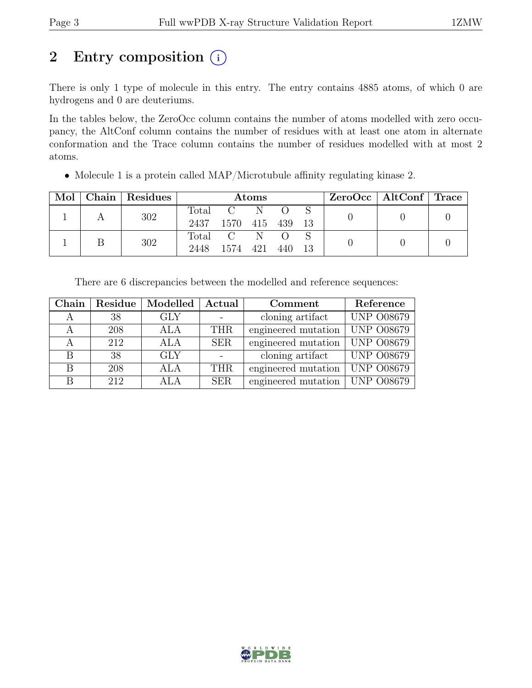## 2 Entry composition  $(i)$

There is only 1 type of molecule in this entry. The entry contains 4885 atoms, of which 0 are hydrogens and 0 are deuteriums.

In the tables below, the ZeroOcc column contains the number of atoms modelled with zero occupancy, the AltConf column contains the number of residues with at least one atom in alternate conformation and the Trace column contains the number of residues modelled with at most 2 atoms.

|  |  | Mol   Chain   Residues | <b>Atoms</b>         |               |  |  |  | $ZeroOcc \mid AltConf \mid Trace$ |  |
|--|--|------------------------|----------------------|---------------|--|--|--|-----------------------------------|--|
|  |  | 302                    |                      | Total C N     |  |  |  |                                   |  |
|  |  |                        | 2437 1570 415 439 13 |               |  |  |  |                                   |  |
|  |  | 302                    |                      | Total C N O S |  |  |  |                                   |  |
|  |  | 2448                   | 1574 421 440 13      |               |  |  |  |                                   |  |

• Molecule 1 is a protein called MAP/Microtubule affinity regulating kinase 2.

There are 6 discrepancies between the modelled and reference sequences:

| Chain | Residue | Modelled   | Actual     | Comment             | Reference         |
|-------|---------|------------|------------|---------------------|-------------------|
|       | 38      | <b>GLY</b> |            | cloning artifact    | <b>UNP 008679</b> |
| А     | 208     | ALA        | <b>THR</b> | engineered mutation | <b>UNP 008679</b> |
| А     | 212     | <b>ALA</b> | <b>SER</b> | engineered mutation | <b>UNP 008679</b> |
| B     | 38      | <b>GLY</b> |            | cloning artifact    | <b>UNP 008679</b> |
| В     | 208     | ALA        | <b>THR</b> | engineered mutation | <b>UNP 008679</b> |
| В     | 212     | ALA        | <b>SER</b> | engineered mutation | <b>UNP 008679</b> |

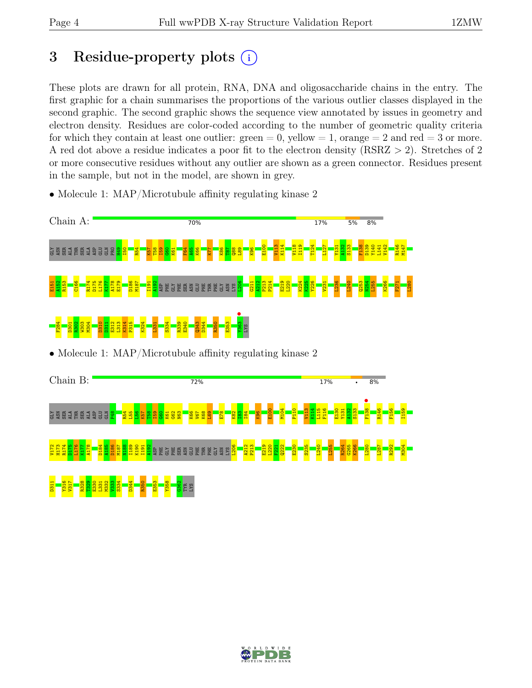## 3 Residue-property plots  $(i)$

These plots are drawn for all protein, RNA, DNA and oligosaccharide chains in the entry. The first graphic for a chain summarises the proportions of the various outlier classes displayed in the second graphic. The second graphic shows the sequence view annotated by issues in geometry and electron density. Residues are color-coded according to the number of geometric quality criteria for which they contain at least one outlier:  $green = 0$ , yellow  $= 1$ , orange  $= 2$  and red  $= 3$  or more. A red dot above a residue indicates a poor fit to the electron density (RSRZ > 2). Stretches of 2 or more consecutive residues without any outlier are shown as a green connector. Residues present in the sample, but not in the model, are shown in grey.

• Molecule 1: MAP/Microtubule affinity regulating kinase 2



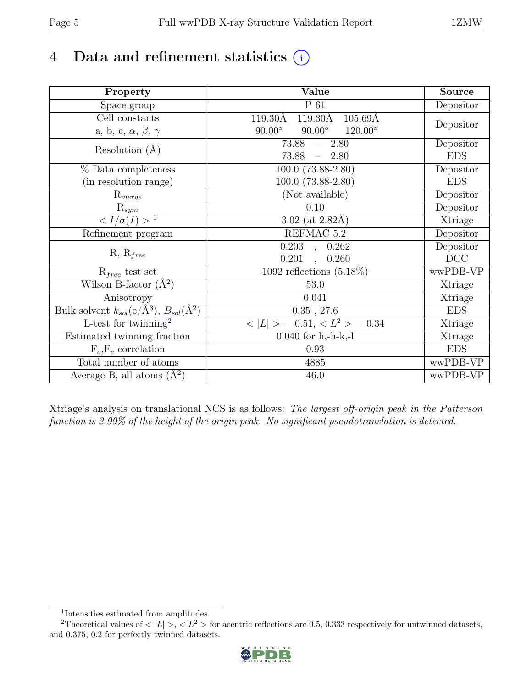## 4 Data and refinement statistics  $(i)$

| Property                                                             | Value                                            | Source     |
|----------------------------------------------------------------------|--------------------------------------------------|------------|
| Space group                                                          | $P_61$                                           | Depositor  |
| Cell constants                                                       | 119.30Å<br>119.30Å<br>$105.69\text{\AA}$         |            |
| a, b, c, $\alpha$ , $\beta$ , $\gamma$                               | $90.00^\circ$<br>$90.00^\circ$<br>$120.00^\circ$ | Depositor  |
| Resolution $(A)$                                                     | 73.88<br>$-2.80$                                 | Depositor  |
|                                                                      | 73.88<br>2.80<br>$\overline{\phantom{a}}$        | <b>EDS</b> |
| % Data completeness                                                  | $100.0$ $(73.88 - 2.80)$                         | Depositor  |
| (in resolution range)                                                | 100.0 (73.88-2.80)                               | <b>EDS</b> |
| $R_{merge}$                                                          | (Not available)                                  | Depositor  |
| $\mathrm{R}_{sym}$                                                   | 0.10                                             | Depositor  |
| $\langle I/\sigma(I) \rangle$ <sup>1</sup>                           | $3.02$ (at 2.82Å)                                | Xtriage    |
| Refinement program                                                   | REFMAC 5.2                                       | Depositor  |
|                                                                      | 0.203<br>0.262<br>$\bar{a}$ ,                    | Depositor  |
| $R, R_{free}$                                                        | 0.201<br>0.260                                   | DCC        |
| $R_{free}$ test set                                                  | 1092 reflections $(5.18\%)$                      | wwPDB-VP   |
| Wilson B-factor $(A^2)$                                              | 53.0                                             | Xtriage    |
| Anisotropy                                                           | 0.041                                            | Xtriage    |
| Bulk solvent $k_{sol}(e/\mathring{A}^3)$ , $B_{sol}(\mathring{A}^2)$ | $0.35$ , 27.6                                    | <b>EDS</b> |
| $\overline{\text{L-test}}$ for twinning <sup>2</sup>                 | $< L >$ = 0.51, $< L^2 >$ = 0.34                 | Xtriage    |
| Estimated twinning fraction                                          | $0.040$ for h,-h-k,-l                            | Xtriage    |
| $F_o, F_c$ correlation                                               | 0.93                                             | <b>EDS</b> |
| Total number of atoms                                                | 4885                                             | wwPDB-VP   |
| Average B, all atoms $(A^2)$                                         | 46.0                                             | wwPDB-VP   |

Xtriage's analysis on translational NCS is as follows: The largest off-origin peak in the Patterson function is 2.99% of the height of the origin peak. No significant pseudotranslation is detected.

<sup>&</sup>lt;sup>2</sup>Theoretical values of  $\langle |L| \rangle$ ,  $\langle L^2 \rangle$  for acentric reflections are 0.5, 0.333 respectively for untwinned datasets, and 0.375, 0.2 for perfectly twinned datasets.



<span id="page-4-1"></span><span id="page-4-0"></span><sup>1</sup> Intensities estimated from amplitudes.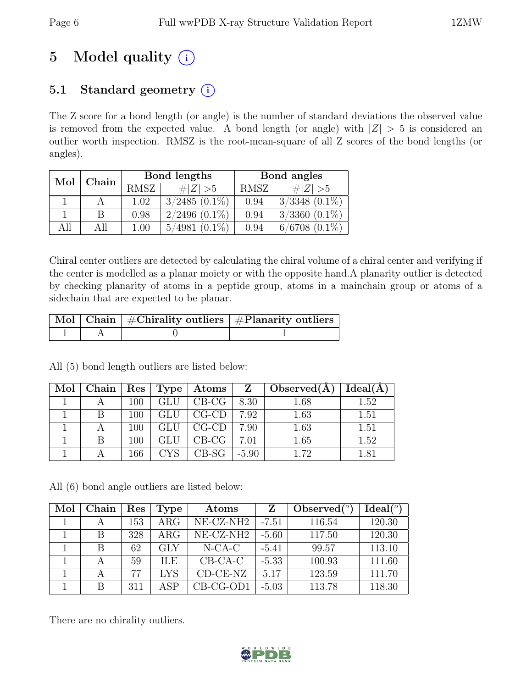# 5 Model quality  $(i)$

### 5.1 Standard geometry  $(i)$

The Z score for a bond length (or angle) is the number of standard deviations the observed value is removed from the expected value. A bond length (or angle) with  $|Z| > 5$  is considered an outlier worth inspection. RMSZ is the root-mean-square of all Z scores of the bond lengths (or angles).

| Mol | Chain |      | Bond lengths        | Bond angles |                    |  |
|-----|-------|------|---------------------|-------------|--------------------|--|
|     |       | RMSZ | $\# Z  > 5$         | RMSZ        | # $ Z  > 5$        |  |
|     |       | 1.02 | $3/2485$ $(0.1\%)$  | 0.94        | $3/3348$ $(0.1\%)$ |  |
|     | R     | 0.98 | $2/2496$ $(0.1\%)$  | 0.94        | $3/3360$ $(0.1\%)$ |  |
| All | ΑH    | 1.00 | 5/4981<br>$(0.1\%)$ | 0.94        | $6/6708$ $(0.1\%)$ |  |

Chiral center outliers are detected by calculating the chiral volume of a chiral center and verifying if the center is modelled as a planar moiety or with the opposite hand.A planarity outlier is detected by checking planarity of atoms in a peptide group, atoms in a mainchain group or atoms of a sidechain that are expected to be planar.

|  | Mol   Chain   #Chirality outliers   #Planarity outliers |
|--|---------------------------------------------------------|
|  |                                                         |

All (5) bond length outliers are listed below:

| $Mol$   Chain | $\operatorname{Res}$ |     | $Type  $ Atoms $ $         |               | $Z \mid Observed(A)$ | Ideal(A) |
|---------------|----------------------|-----|----------------------------|---------------|----------------------|----------|
|               | 100                  |     | $GLU$   CB-CG              | 8.30          | 1.68                 | 1.52     |
|               | 100                  |     | $GLU$   $CG-CD$            | 7.92          | 1.63                 | 1.51     |
|               | 100                  |     | $GLU$   $CG$ - $CD$        | 7.90          | 1.63                 | 1.51     |
|               | 100                  | GLU | $\vert$ CB-CG $\vert$ 7.01 |               | 1.65                 | 1.52     |
|               | 166                  |     | $CYS$   CB-SG              | $\vert$ -5.90 | 1.72                 | 1.81     |

All (6) bond angle outliers are listed below:

| Mol | Chain          | Res | <b>Type</b> | Atoms                          | Z       | Observed $\binom{o}{c}$ | Ideal $(°)$ |
|-----|----------------|-----|-------------|--------------------------------|---------|-------------------------|-------------|
|     | $\overline{A}$ | 153 | $\rm{ARG}$  | NE-CZ-NH <sub>2</sub>          | $-7.51$ | 116.54                  | 120.30      |
|     | В              | 328 | $\rm{ARG}$  | NE-CZ-NH <sub>2</sub>          | $-5.60$ | 117.50                  | 120.30      |
|     | B              | 62  | <b>GLY</b>  | $N$ -CA-C                      | $-5.41$ | 99.57                   | 113.10      |
|     |                | 59  | ILE         | $CB-CA-C$                      | $-5.33$ | 100.93                  | 111.60      |
|     | А              | 77  | <b>LYS</b>  | $CD-CE-NZ$                     | 5.17    | 123.59                  | 111.70      |
|     | В              | 311 | ASP         | $\overline{\text{CB}}$ -CG-OD1 | $-5.03$ | 113.78                  | 118.30      |

There are no chirality outliers.

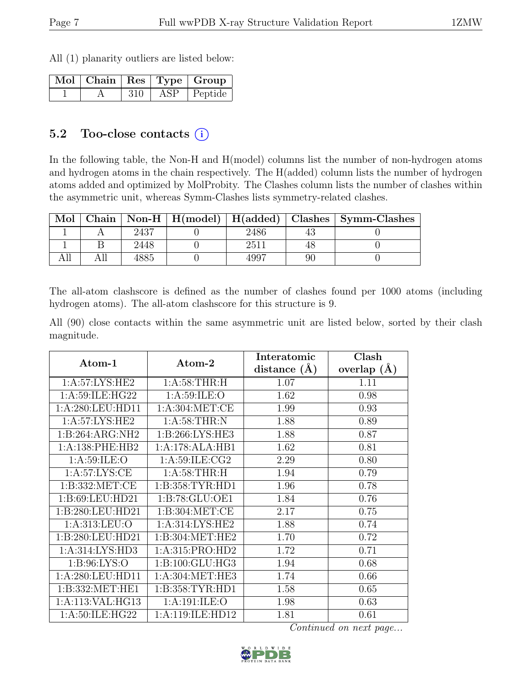All (1) planarity outliers are listed below:

| Mol   Chain   Res   Type   Group |     |               |
|----------------------------------|-----|---------------|
|                                  | 310 | ASP   Peptide |

#### 5.2 Too-close contacts  $(i)$

In the following table, the Non-H and H(model) columns list the number of non-hydrogen atoms and hydrogen atoms in the chain respectively. The H(added) column lists the number of hydrogen atoms added and optimized by MolProbity. The Clashes column lists the number of clashes within the asymmetric unit, whereas Symm-Clashes lists symmetry-related clashes.

| Mol |      |               | Chain   Non-H   H(model)   H(added)   Clashes   Symm-Clashes |
|-----|------|---------------|--------------------------------------------------------------|
|     | 2437 | 2486          |                                                              |
|     | 2448 | $251^{\circ}$ |                                                              |
|     |      |               |                                                              |

The all-atom clashscore is defined as the number of clashes found per 1000 atoms (including hydrogen atoms). The all-atom clashscore for this structure is 9.

All (90) close contacts within the same asymmetric unit are listed below, sorted by their clash magnitude.

| Atom-1              | Atom-2              | Interatomic    | Clash         |
|---------------------|---------------------|----------------|---------------|
|                     |                     | distance $(A)$ | overlap $(A)$ |
| 1:A:57:LYS:HE2      | 1: A:58:THR:H       | 1.07           | 1.11          |
| 1:A:59:ILE:HG22     | 1: A:59: ILE: O     | 1.62           | 0.98          |
| 1:A:280:LEU:HD11    | 1: A:304: MET:CE    | 1.99           | 0.93          |
| 1:A:57:LYS:HE2      | 1: A:58:THR:N       | 1.88           | 0.89          |
| 1:B:264:ARG:NH2     | 1:B:266:LYS:HE3     | 1.88           | 0.87          |
| 1: A: 138: PHE: HB2 | 1:A:178:ALA:HB1     | 1.62           | 0.81          |
| 1: A:59: ILE: O     | 1: A:59: ILE: CG2   | 2.29           | 0.80          |
| 1: A:57: LYS: CE    | 1: A:58:THR:H       | 1.94           | 0.79          |
| 1: B: 332: MET: CE  | 1: B: 358: TYR: HD1 | 1.96           | 0.78          |
| 1:B:69:LEU:HD21     | 1:B:78:GLU:OE1      | 1.84           | 0.76          |
| 1:B:280:LEU:HD21    | 1: B:304:MET:CE     | 2.17           | 0.75          |
| 1:A:313:LEU:O       | 1:A:314:LYS:HE2     | 1.88           | 0.74          |
| 1:B:280:LEU:HD21    | 1: B: 304: MET: HE2 | 1.70           | 0.72          |
| 1: A:314: LYS: HD3  | 1: A:315: PRO:HD2   | 1.72           | 0.71          |
| 1: B:96: LYS:O      | 1: B: 100: GLU: HG3 | 1.94           | 0.68          |
| 1:A:280:LEU:HD11    | 1:A:304:MET:HE3     | 1.74           | 0.66          |
| 1:B:332:MET:HE1     | 1: B: 358: TYR: HD1 | 1.58           | 0.65          |
| 1:A:113:VAL:HG13    | 1: A: 191: ILE: O   | 1.98           | 0.63          |
| 1: A:50: ILE: HG22  | 1:A:119:ILE:HD12    | 1.81           | 0.61          |

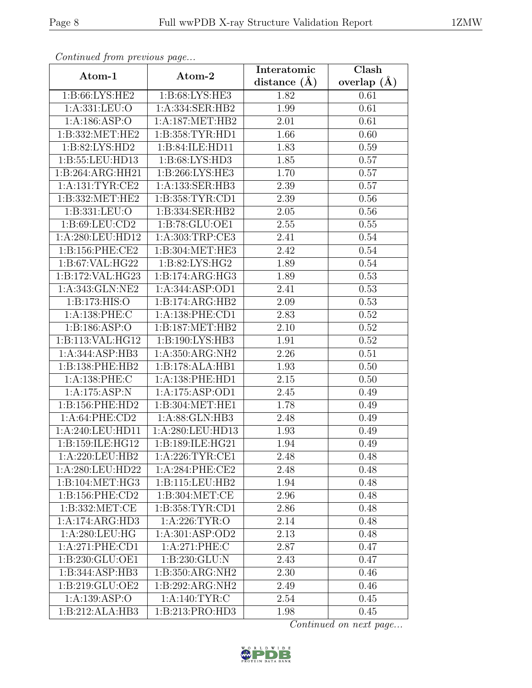| Continued from previous page |                              | Interatomic       | Clash         |  |
|------------------------------|------------------------------|-------------------|---------------|--|
| Atom-1                       | Atom-2                       | distance $(A)$    | overlap $(A)$ |  |
| 1:B:66:LYS:HE2               | 1:B:68:LYS:HE3               | 1.82              | 0.61          |  |
| 1:A:331:LEU:O                | 1:A:334:SER:HB2              | 1.99              | 0.61          |  |
| 1:A:186:ASP:O                | 1: A: 187: MET: HB2          | 2.01              | 0.61          |  |
| 1:B:332:MET:HE2              | 1:B:358:TYR:HD1              | 1.66              | 0.60          |  |
| 1:B:82:LYS:HD2               | 1:B:84:ILE:HD11              | 1.83              | 0.59          |  |
| 1:B:55:LEU:HD13              | 1: B:68: LYS: HD3            | 1.85              | 0.57          |  |
| 1:B:264:ARG:HH21             | 1: B:266: LYS: HE3           | 1.70              | 0.57          |  |
| 1: A: 131: TYR: CE2          | 1:A:133:SER:HB3              | 2.39              | 0.57          |  |
| 1:B:332:MET:HE2              | 1:B:358:TYR:CD1              | 2.39              | 0.56          |  |
| 1:B:331:LEU:O                | 1:B:334:SER:HB2              | 2.05              | 0.56          |  |
| 1:B:69:LEU:CD2               | 1:B:78:GLU:OE1               | 2.55              | 0.55          |  |
| 1:A:280:LEU:HD12             | 1:A:303:TRP:CE3              | 2.41              | 0.54          |  |
| 1:B:156:PHE:CE2              | 1:B:304:MET:HE3              | 2.42              | 0.54          |  |
| 1:B:67:VAL:HG22              | 1: B:82: L <sub>YS:HG2</sub> | 1.89              | 0.54          |  |
| 1:B:172:VAL:HG23             | 1:B:174:ARG:HG3              | 1.89              | 0.53          |  |
| 1:A:343:GLN:NE2              | 1:A:344:ASP:OD1              | 2.41              | 0.53          |  |
| 1:B:173:HIS:O                | 1:B:174:ARG:HB2              | 2.09              | 0.53          |  |
| 1:A:138:PHE:C                | 1:A:138:PHE:CD1              | 2.83              | 0.52          |  |
| 1:B:186:ASP:O                | 1:B:187:MET:HB2              | 2.10              | 0.52          |  |
| 1:B:113:VAL:HG12             | 1:B:190:LYS:HB3              | 1.91              | 0.52          |  |
| 1:A:344:ASP:HB3              | 1:A:350:ARG:NH2              | 2.26              | 0.51          |  |
| 1:B:138:PHE:HB2              | 1:B:178:ALA:HB1              | 1.93              | 0.50          |  |
| 1:A:138:PHE:C                | 1:A:138:PHE:HD1              | 2.15              | 0.50          |  |
| 1:A:175:ASP:N                | 1:A:175:ASP:OD1              | 2.45              | 0.49          |  |
| 1:B:156:PHE:HD2              | 1:B:304:MET:HE1              | 1.78              | 0.49          |  |
| 1:A:64:PHE:CD2               | 1:A:88:GLN:HB3               | 2.48              | 0.49          |  |
| 1:A:240:LEU:HD11             | 1:A:280:LEU:HD13             | 1.93              | 0.49          |  |
| 1:B:159:ILE:HG12             | 1:B:189:ILE:HG21             | 1.94              | 0.49          |  |
| 1:A:220:LEU:HB2              | 1: A:226:TYR:CE1             | 2.48              | 0.48          |  |
| 1:A:280:LEU:HD22             | 1:A:284:PHE:CE2              | 2.48              | 0.48          |  |
| 1: B: 104: MET: HG3          | 1:B:115:LEU:HB2              | 1.94              | 0.48          |  |
| 1:B:156:PHE:CD2              | 1: B: 304: MET: CE           | 2.96              | 0.48          |  |
| 1:B:332:MET:CE               | 1:B:358:TYR:CD1              | 2.86              | 0.48          |  |
| 1:A:174:ARG:HD3              | 1:A:226:TYR:O                | 2.14              | 0.48          |  |
| 1: A:280:LEU:HG              | 1:A:301:ASP:OD2              | 2.13              | 0.48          |  |
| 1:A:271:PHE:CD1              | 1:A:271:PHE:C                | 2.87              | 0.47          |  |
| 1:B:230:GLU:OE1              | 1:B:230:GLU:N                | 2.43              | 0.47          |  |
| 1:B:344:ASP:HB3              | 1:B:350:ARG:NH2              | $2.\overline{30}$ | 0.46          |  |
| 1:B:219:GLU:OE2              | 1:B:292:ARG:NH2              | 2.49              | 0.46          |  |
| 1:A:139:ASP:O                | 1: A:140: TYR: C             | 2.54              | 0.45          |  |
| 1:B:212:ALA:HB3              | 1:B:213:PRO:HD3              | 1.98              | 0.45          |  |

Continued from previous page.

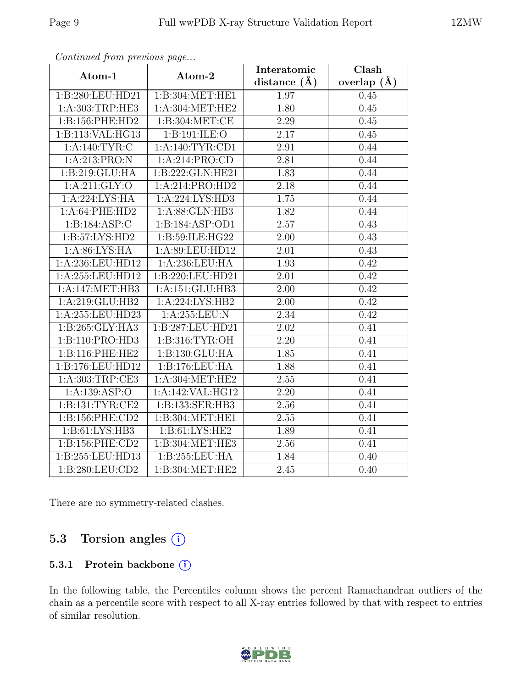|                     |                    | Interatomic      | $\overline{\text{Clash}}$ |
|---------------------|--------------------|------------------|---------------------------|
| Atom-1              | Atom-2             | distance $(\AA)$ | overlap $(A)$             |
| 1:B:280:LEU:HD21    | 1:B:304:MET:HE1    | 1.97             | 0.45                      |
| 1: A: 303: TRP: HE3 | 1: A:304:MET:HE2   | 1.80             | 0.45                      |
| 1:B:156:PHE:HD2     | 1: B: 304: MET: CE | 2.29             | 0.45                      |
| 1:B:113:VAL:HG13    | 1:B:191:ILE:O      | 2.17             | 0.45                      |
| 1: A:140: TYR: C    | 1:A:140:TYR:CD1    | 2.91             | 0.44                      |
| 1:A:213:PRO:N       | 1:A:214:PRO:CD     | 2.81             | 0.44                      |
| 1:B:219:GLU:HA      | 1:B:222:GLN:HE21   | 1.83             | 0.44                      |
| 1: A:211: GLY:O     | 1:A:214:PRO:HD2    | 2.18             | 0.44                      |
| 1: A:224:LYS:HA     | 1: A:224: LYS: HD3 | 1.75             | 0.44                      |
| 1:A:64:PHE:HD2      | 1:A:88:GLN:HB3     | 1.82             | 0.44                      |
| 1:B:184:ASP:C       | 1:B:184:ASP:OD1    | 2.57             | 0.43                      |
| 1:B:57:LYS:HD2      | 1:B:59:ILE:HG22    | 2.00             | 0.43                      |
| 1: A:86: LYS: HA    | 1:A:89:LEU:HD12    | 2.01             | 0.43                      |
| 1:A:236:LEU:HD12    | 1:A:236:LEU:HA     | 1.93             | 0.42                      |
| 1:A:255:LEU:HD12    | 1:B:220:LEU:HD21   | 2.01             | 0.42                      |
| 1:A:147:MET:HB3     | 1:A:151:GLU:HB3    | 2.00             | 0.42                      |
| 1:A:219:GLU:HB2     | 1:A:224:LYS:HB2    | 2.00             | 0.42                      |
| 1:A:255:LEU:HD23    | 1:A:255:LEU:N      | 2.34             | 0.42                      |
| 1:B:265:GLY:HA3     | 1:B:287:LEU:HD21   | 2.02             | 0.41                      |
| 1:B:110:PRO:HD3     | 1:B:316:TYR:OH     | 2.20             | 0.41                      |
| 1:B:116:PHE:HE2     | 1:B:130:GLU:HA     | 1.85             | 0.41                      |
| 1:B:176:LEU:HD12    | 1:B:176:LEU:HA     | 1.88             | 0.41                      |
| 1:A:303:TRP:CE3     | 1: A:304:MET:HE2   | 2.55             | 0.41                      |
| 1:A:139:ASP:O       | 1:A:142:VAL:HG12   | 2.20             | 0.41                      |
| 1:B:131:TYR:CE2     | 1:B:133:SER:HB3    | $2.56\,$         | 0.41                      |
| 1:B:156:PHE:CD2     | 1:B:304:MET:HE1    | 2.55             | 0.41                      |
| 1:B:61:LYS:HB3      | 1:B:61:LYS:HE2     | 1.89             | 0.41                      |
| 1:B:156:PHE:CD2     | 1:B:304:MET:HE3    | 2.56             | 0.41                      |
| 1:B:255:LEU:HD13    | 1:B:255:LEU:HA     | 1.84             | 0.40                      |
| 1:B:280:LEU:CD2     | 1:B:304:MET:HE2    | 2.45             | 0.40                      |

Continued from previous page...

There are no symmetry-related clashes.

### 5.3 Torsion angles (i)

#### 5.3.1 Protein backbone (i)

In the following table, the Percentiles column shows the percent Ramachandran outliers of the chain as a percentile score with respect to all X-ray entries followed by that with respect to entries of similar resolution.

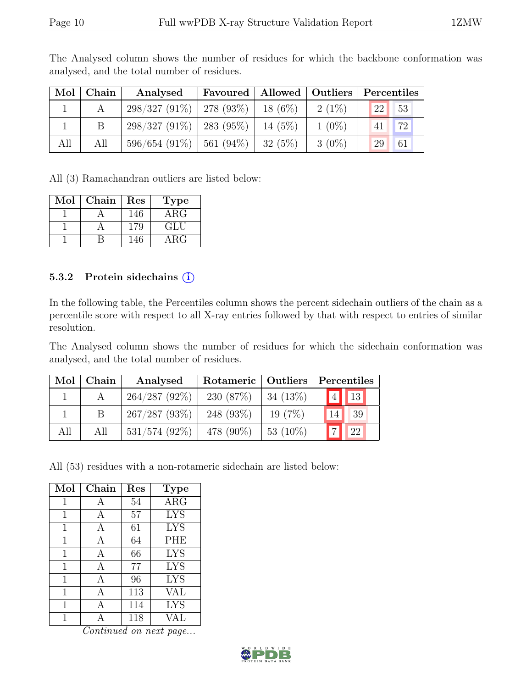|     | $Mol$   Chain | Analysed                                 |           |          | Favoured   Allowed   Outliers   Percentiles |  |
|-----|---------------|------------------------------------------|-----------|----------|---------------------------------------------|--|
|     |               | $298/327 (91\%)$   278 (93%)   18 (6%)   |           | $2(1\%)$ | 22<br>53                                    |  |
|     |               | $298/327(91\%)$   283 (95%)              | $14(5\%)$ | $1(0\%)$ | 72<br>41                                    |  |
| All | All           | $596/654$ (91\%)   561 (94\%)   32 (5\%) |           | $3(0\%)$ | 29<br>61                                    |  |

The Analysed column shows the number of residues for which the backbone conformation was analysed, and the total number of residues.

All (3) Ramachandran outliers are listed below:

| Mol | Chain | Res | <b>Type</b> |
|-----|-------|-----|-------------|
|     |       | 146 | $\rm{ARG}$  |
|     |       | 179 | GLU         |
|     |       | 146 | $\rm{ARG}$  |

#### 5.3.2 Protein sidechains  $(i)$

In the following table, the Percentiles column shows the percent sidechain outliers of the chain as a percentile score with respect to all X-ray entries followed by that with respect to entries of similar resolution.

The Analysed column shows the number of residues for which the sidechain conformation was analysed, and the total number of residues.

| Mol | Chain | Analysed         | Rotameric   Outliers   Percentiles |            |             |                          |
|-----|-------|------------------|------------------------------------|------------|-------------|--------------------------|
|     |       | $264/287(92\%)$  | 230 (87%)                          | $34(13\%)$ |             | $\boxed{4}$ $\boxed{13}$ |
|     |       | 267/287(93%)     | 248 $(93\%)$                       | 19(7%)     | 14          | 39                       |
| All | All   | $531/574$ (92\%) | 478 (90%)                          | $53(10\%)$ | $\boxed{7}$ | $\vert$ 22               |

All (53) residues with a non-rotameric sidechain are listed below:

| Mol         | Chain | Res | <b>Type</b> |
|-------------|-------|-----|-------------|
| 1           | А     | 54  | $\rm{ARG}$  |
| $\mathbf 1$ | А     | 57  | <b>LYS</b>  |
| 1           | A     | 61  | <b>LYS</b>  |
| 1           | А     | 64  | <b>PHE</b>  |
| 1           | A     | 66  | <b>LYS</b>  |
| 1           | А     | 77  | <b>LYS</b>  |
| 1           | A     | 96  | <b>LYS</b>  |
| 1           | A     | 113 | <b>VAL</b>  |
| 1           | А     | 114 | <b>LYS</b>  |
|             |       | 118 | VAL.        |

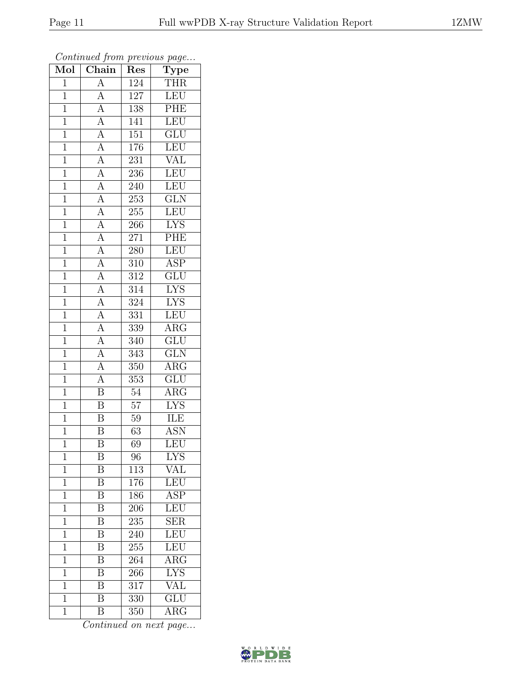| Mol            | $\mathbf{v}$<br>Chain                                                                                                                                                                                                                     | x.<br>Res        | $\mathbf{r}$<br>$\overline{v}$<br>$\overline{\text{Type}}$ |
|----------------|-------------------------------------------------------------------------------------------------------------------------------------------------------------------------------------------------------------------------------------------|------------------|------------------------------------------------------------|
| $\mathbf 1$    | $\overline{A}$                                                                                                                                                                                                                            | 124              | THR                                                        |
| $\mathbf{1}$   |                                                                                                                                                                                                                                           | 127              | LEU                                                        |
| $\overline{1}$ |                                                                                                                                                                                                                                           | 138              | PHE                                                        |
| $\mathbf 1$    |                                                                                                                                                                                                                                           | 141              | LEU                                                        |
| $\overline{1}$ |                                                                                                                                                                                                                                           | $\overline{151}$ | $\overline{\text{GLU}}$                                    |
| $\mathbf 1$    |                                                                                                                                                                                                                                           | 176              | LEU                                                        |
| $\overline{1}$ |                                                                                                                                                                                                                                           | 231              | <b>VAL</b>                                                 |
| $\mathbf{1}$   |                                                                                                                                                                                                                                           | 236              | LEU                                                        |
| $\overline{1}$ |                                                                                                                                                                                                                                           | $240\,$          | LEU                                                        |
| $\mathbf{1}$   |                                                                                                                                                                                                                                           | $\overline{253}$ | $\overline{\text{GLN}}$                                    |
| $\mathbf{1}$   |                                                                                                                                                                                                                                           | 255              | LEU                                                        |
| $\mathbf{1}$   |                                                                                                                                                                                                                                           | 266              | I <sub>YS</sub>                                            |
| $\overline{1}$ |                                                                                                                                                                                                                                           | 271              | PHE                                                        |
| $\overline{1}$ |                                                                                                                                                                                                                                           | 280              | LEU                                                        |
| $\overline{1}$ | $\frac{\overline{A}}{\overline{A}}\frac{\overline{A}}{\overline{A}}\frac{\overline{A}}{\overline{A}}\frac{\overline{A}}{\overline{A}}\frac{\overline{A}}{\overline{A}}\frac{\overline{A}}{\overline{A}}\frac{\overline{A}}{\overline{A}}$ | 310              | $\overline{\text{ASP}}$                                    |
| $\mathbf{1}$   |                                                                                                                                                                                                                                           | 312              | GLU                                                        |
| $\overline{1}$ |                                                                                                                                                                                                                                           | $\overline{314}$ | <b>LYS</b>                                                 |
| $\overline{1}$ | $\frac{\overline{A}}{\overline{A}}$ $\frac{\overline{A}}{\overline{A}}$ $\frac{\overline{A}}{\overline{A}}$                                                                                                                               | 324              | <b>LYS</b>                                                 |
| $\overline{1}$ |                                                                                                                                                                                                                                           | 331              | LEU                                                        |
| $\overline{1}$ |                                                                                                                                                                                                                                           | 339              | $\overline{\text{ARG}}$                                    |
| $\mathbf{1}$   |                                                                                                                                                                                                                                           | 340              | $\overline{\text{GLU}}$                                    |
| $\overline{1}$ |                                                                                                                                                                                                                                           | $\overline{343}$ | $\overline{\text{GLN}}$                                    |
| $\mathbf 1$    |                                                                                                                                                                                                                                           | 350              | $\rm{ARG}$                                                 |
| $\overline{1}$ | $\overline{A}$                                                                                                                                                                                                                            | $\overline{353}$ | $\overline{\text{GLU}}$                                    |
| $\overline{1}$ | $\overline{\mathbf{B}}$                                                                                                                                                                                                                   | 54               | $\rm{ARG}$                                                 |
| $\overline{1}$ | $\overline{\mathbf{B}}$                                                                                                                                                                                                                   | $57\,$           | $\overline{\text{LYS}}$                                    |
| $\mathbf{1}$   | $\overline{\mathbf{B}}$                                                                                                                                                                                                                   | 59               | ILE                                                        |
| $\overline{1}$ | $\overline{\mathbf{B}}$                                                                                                                                                                                                                   | 63               | $\overline{\text{ASN}}$                                    |
| $\overline{1}$ | $\overline{\mathrm{B}}$                                                                                                                                                                                                                   | 69               | LEU                                                        |
| 1              | Β                                                                                                                                                                                                                                         | 96               | LYS                                                        |
| $\mathbf{1}$   | $\boldsymbol{B}$                                                                                                                                                                                                                          | 113              | VAL                                                        |
| $\mathbf{1}$   | $\overline{\mathrm{B}}$                                                                                                                                                                                                                   | 176              | LEU                                                        |
| $\mathbf{1}$   | $\overline{B}$                                                                                                                                                                                                                            | 186              | <b>ASP</b>                                                 |
| $\overline{1}$ | $\overline{\mathrm{B}}$                                                                                                                                                                                                                   | 206              | LEU                                                        |
| $\mathbf 1$    | B                                                                                                                                                                                                                                         | 235              | <b>SER</b>                                                 |
| 1              | $\overline{\mathrm{B}}$                                                                                                                                                                                                                   | 240              | LEU                                                        |
| $\mathbf 1$    | $\overline{\mathbf{B}}$                                                                                                                                                                                                                   | 255              | <b>LEU</b>                                                 |
| $\mathbf 1$    | $\overline{\mathrm{B}}$                                                                                                                                                                                                                   | 264              | $\overline{\text{ARG}}$                                    |
| 1              | $\overline{\mathrm{B}}$                                                                                                                                                                                                                   | 266              | $\overline{\text{LYS}}$                                    |
| $\mathbf{1}$   | $\overline{\mathrm{B}}$                                                                                                                                                                                                                   | 317              | <b>VAL</b>                                                 |
| $\mathbf 1$    | Β                                                                                                                                                                                                                                         | 330              | $\overline{\text{GLU}}$                                    |
| $\mathbf 1$    | $\overline{\mathrm{B}}$                                                                                                                                                                                                                   | 350              | $\rm{ARG}$                                                 |

Continued from previous page...

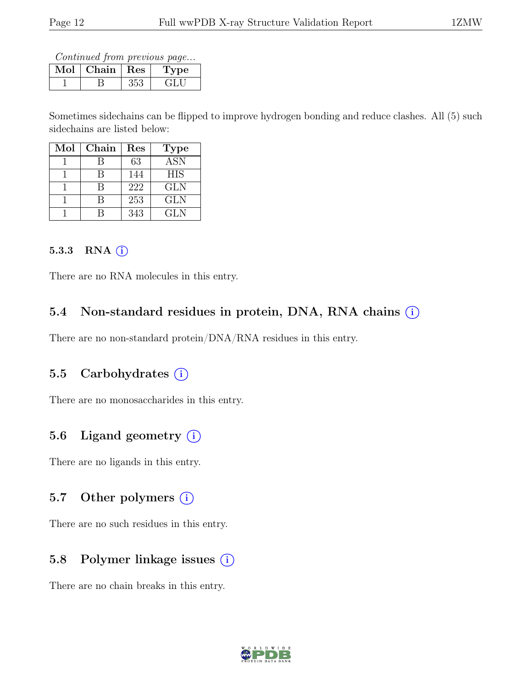Continued from previous page...

| Mol | $\vert$ Chain $\vert$ Res |     | Type |
|-----|---------------------------|-----|------|
|     |                           | २८२ |      |

Sometimes sidechains can be flipped to improve hydrogen bonding and reduce clashes. All (5) such sidechains are listed below:

| $\operatorname{Mol}$ | Chain | Res | <b>Type</b> |
|----------------------|-------|-----|-------------|
|                      |       | 63  | <b>ASN</b>  |
|                      | R     | 144 | <b>HIS</b>  |
|                      | R     | 222 | <b>GLN</b>  |
|                      |       | 253 | <b>GLN</b>  |
|                      |       | 343 | GL N        |

#### 5.3.3 RNA  $(i)$

There are no RNA molecules in this entry.

#### 5.4 Non-standard residues in protein, DNA, RNA chains  $(i)$

There are no non-standard protein/DNA/RNA residues in this entry.

#### 5.5 Carbohydrates  $(i)$

There are no monosaccharides in this entry.

### 5.6 Ligand geometry  $(i)$

There are no ligands in this entry.

#### 5.7 Other polymers  $(i)$

There are no such residues in this entry.

#### 5.8 Polymer linkage issues  $(i)$

There are no chain breaks in this entry.